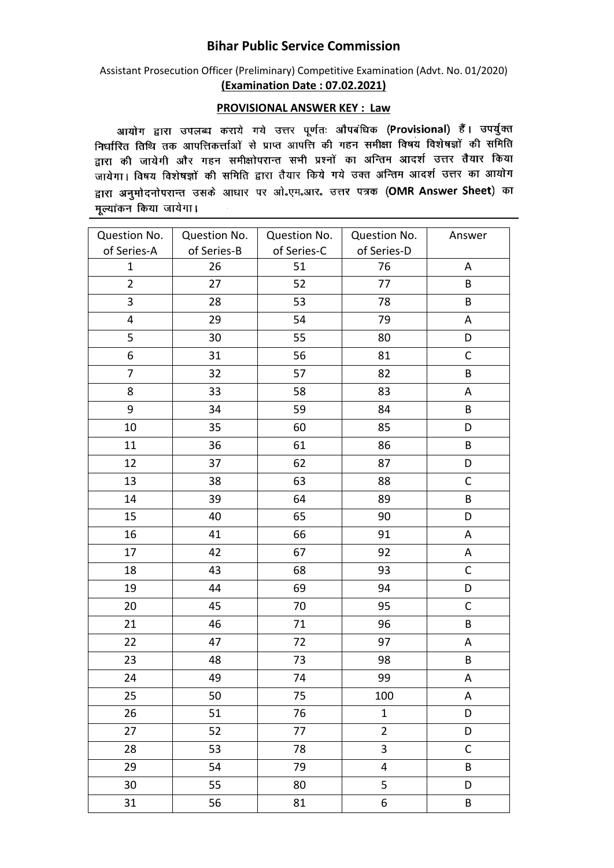## **Bihar Public Service Commission**

Assistant Prosecution Officer (Preliminary) Competitive Examination (Advt. No. 01/2020) **(Examination Date : 07.02.2021)**

## **PROVISIONAL ANSWER KEY : Law**

आयोग द्वारा उपलब्ध कराये गये उत्तर पूर्णतः औपबंधिक (Provisional) हैं। उपर्युक्त लिर्घारित तिथि तक आपत्तिकर्त्ताओं से प्राप्त आपत्ति की गहन समीक्षा विषय विशेषज्ञों की समिति समारत तांचे तेर जानारारणीली ते आते. समारत मेरे में समारा समारा समारा करते हैं।<br>द्वारा की जायेगी और गहन समीक्षोपरान्त सभी प्रश्नों का अन्तिम आदर्श उत्तर तैयार किया जायेगा। विषय विशेषज्ञों की समिति द्वारा तैयार किये गये उक्त अन्तिम आदर्श उत्तर का आयोग द्वारा अनुमोदनोपरान्त उसके आधार पर ओ॰एम॰आर॰ उत्तर पत्रक (OMR Answer Sheet) का मूल्यांकन किया जायेगा।

| Question No.            | Question No. | Question No. | Question No.            | Answer       |
|-------------------------|--------------|--------------|-------------------------|--------------|
| of Series-A             | of Series-B  | of Series-C  | of Series-D             |              |
| $\mathbf{1}$            | 26           | 51           | 76                      | Α            |
| $\overline{2}$          | 27           | 52           | 77                      | B            |
| 3                       | 28           | 53           | 78                      | B            |
| $\overline{\mathbf{4}}$ | 29           | 54           | 79                      | Α            |
| 5                       | 30           | 55           | 80                      | D            |
| 6                       | 31           | 56           | 81                      | $\mathsf C$  |
| 7                       | 32           | 57           | 82                      | B            |
| 8                       | 33           | 58           | 83                      | Α            |
| 9                       | 34           | 59           | 84                      | B            |
| 10                      | 35           | 60           | 85                      | D            |
| 11                      | 36           | 61           | 86                      | B            |
| 12                      | 37           | 62           | 87                      | D            |
| 13                      | 38           | 63           | 88                      | $\mathsf{C}$ |
| 14                      | 39           | 64           | 89                      | B            |
| 15                      | 40           | 65           | 90                      | D            |
| 16                      | 41           | 66           | 91                      | Α            |
| 17                      | 42           | 67           | 92                      | Α            |
| 18                      | 43           | 68           | 93                      | $\mathsf{C}$ |
| 19                      | 44           | 69           | 94                      | D            |
| 20                      | 45           | 70           | 95                      | $\mathsf C$  |
| 21                      | 46           | 71           | 96                      | B            |
| 22                      | 47           | 72           | 97                      | Α            |
| 23                      | 48           | 73           | 98                      | B            |
| 24                      | 49           | 74           | 99                      | А            |
| 25                      | 50           | 75           | 100                     | Α            |
| 26                      | 51           | 76           | $\mathbf{1}$            | D            |
| 27                      | 52           | 77           | $\overline{2}$          | D            |
| 28                      | 53           | 78           | 3                       | $\mathsf C$  |
| 29                      | 54           | 79           | $\overline{\mathbf{4}}$ | $\sf{B}$     |
| 30                      | 55           | 80           | 5                       | D            |
| 31                      | 56           | 81           | 6                       | B            |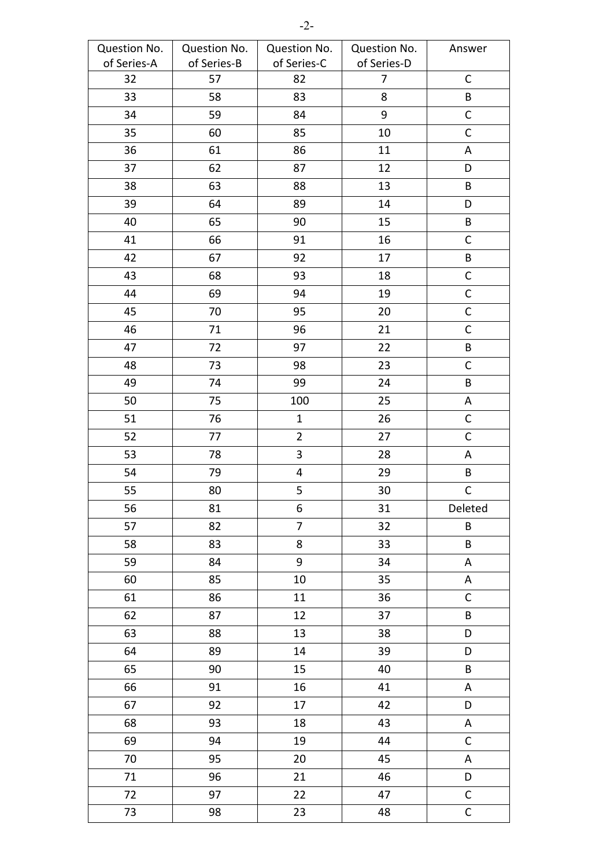| Question No. | Question No. | Question No.            | Question No.   | Answer       |
|--------------|--------------|-------------------------|----------------|--------------|
| of Series-A  | of Series-B  | of Series-C             | of Series-D    |              |
| 32           | 57           | 82                      | $\overline{7}$ | $\mathsf C$  |
| 33           | 58           | 83                      | 8              | B            |
| 34           | 59           | 84                      | 9              | $\mathsf C$  |
| 35           | 60           | 85                      | 10             | $\mathsf C$  |
| 36           | 61           | 86                      | 11             | Α            |
| 37           | 62           | 87                      | 12             | D            |
| 38           | 63           | 88                      | 13             | $\sf{B}$     |
| 39           | 64           | 89                      | 14             | D            |
| 40           | 65           | 90                      | 15             | B            |
| 41           | 66           | 91                      | 16             | $\mathsf C$  |
| 42           | 67           | 92                      | 17             | B            |
| 43           | 68           | 93                      | 18             | $\mathsf C$  |
| 44           | 69           | 94                      | 19             | $\mathsf{C}$ |
| 45           | 70           | 95                      | 20             | $\mathsf C$  |
| 46           | 71           | 96                      | 21             | $\mathsf C$  |
| 47           | 72           | 97                      | 22             | $\sf{B}$     |
| 48           | 73           | 98                      | 23             | $\mathsf C$  |
| 49           | 74           | 99                      | 24             | B            |
| 50           | 75           | 100                     | 25             | Α            |
| 51           | 76           | $\mathbf{1}$            | 26             | $\mathsf C$  |
| 52           | 77           | $\overline{2}$          | 27             | $\mathsf C$  |
| 53           | 78           | 3                       | 28             | A            |
| 54           | 79           | $\overline{\mathbf{4}}$ | 29             | B            |
| 55           | 80           | 5                       | 30             | $\mathsf C$  |
| 56           | 81           | 6                       | 31             | Deleted      |
| 57           | 82           | $\overline{7}$          | 32             | $\sf{B}$     |
| 58           | 83           | 8                       | 33             | B            |
| 59           | 84           | 9                       | 34             | A            |
| 60           | 85           | 10                      | 35             | A            |
| 61           | 86           | 11                      | 36             | $\mathsf C$  |
| 62           | 87           | 12                      | 37             | B            |
| 63           | 88           | 13                      | 38             | D            |
| 64           | 89           | 14                      | 39             | D            |
| 65           | 90           | 15                      | 40             | B            |
| 66           | 91           | 16                      | 41             | A            |
| 67           | 92           | 17                      | 42             | D            |
| 68           | 93           | 18                      | 43             | A            |
| 69           | 94           | 19                      | 44             | $\mathsf C$  |
| 70           | 95           | 20                      | 45             | Α            |
| 71           | 96           | 21                      | 46             | D            |
| 72           | 97           | 22                      | 47             | $\mathsf C$  |
| 73           | 98           | 23                      | 48             | $\mathsf C$  |